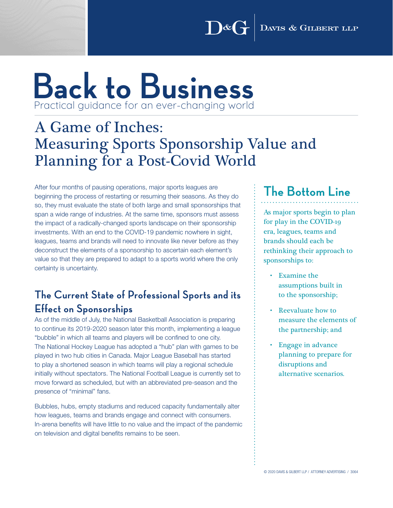DAVIS & GILBERT LLP  $\int \mathbb{R}^d$ 

## **Back to Business** Practical guidance for an ever-changing world

## A Game of Inches: Measuring Sports Sponsorship Value and Planning for a Post-Covid World

After four months of pausing operations, major sports leagues are beginning the process of restarting or resuming their seasons. As they do so, they must evaluate the state of both large and small sponsorships that span a wide range of industries. At the same time, sponsors must assess the impact of a radically-changed sports landscape on their sponsorship investments. With an end to the COVID-19 pandemic nowhere in sight, leagues, teams and brands will need to innovate like never before as they deconstruct the elements of a sponsorship to ascertain each element's value so that they are prepared to adapt to a sports world where the only certainty is uncertainty.

#### **The Current State of Professional Sports and its Effect on Sponsorships**

As of the middle of July, the National Basketball Association is preparing to continue its 2019-2020 season later this month, implementing a league "bubble" in which all teams and players will be confined to one city. The National Hockey League has adopted a "hub" plan with games to be played in two hub cities in Canada. Major League Baseball has started to play a shortened season in which teams will play a regional schedule initially without spectators. The National Football League is currently set to move forward as scheduled, but with an abbreviated pre-season and the presence of "minimal" fans.

Bubbles, hubs, empty stadiums and reduced capacity fundamentally alter how leagues, teams and brands engage and connect with consumers. In-arena benefits will have little to no value and the impact of the pandemic on television and digital benefits remains to be seen.

### **The Bottom Line**

As major sports begin to plan for play in the COVID-19 era, leagues, teams and brands should each be rethinking their approach to sponsorships to:

- Examine the assumptions built in to the sponsorship;
- Reevaluate how to measure the elements of the partnership; and
- Engage in advance planning to prepare for disruptions and alternative scenarios.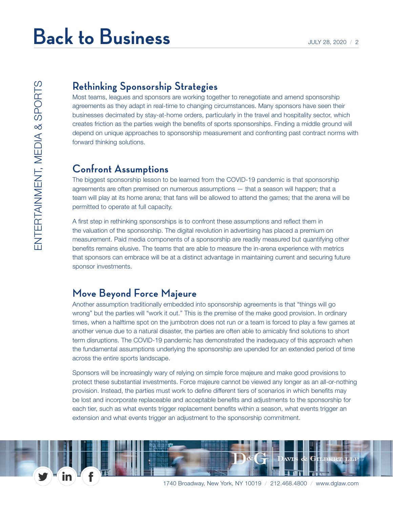#### **Rethinking Sponsorship Strategies**

Most teams, leagues and sponsors are working together to renegotiate and amend sponsorship agreements as they adapt in real-time to changing circumstances. Many sponsors have seen their businesses decimated by stay-at-home orders, particularly in the travel and hospitality sector, which creates friction as the parties weigh the benefits of sports sponsorships. Finding a middle ground will depend on unique approaches to sponsorship measurement and confronting past contract norms with forward thinking solutions.

#### **Confront Assumptions**

The biggest sponsorship lesson to be learned from the COVID-19 pandemic is that sponsorship agreements are often premised on numerous assumptions — that a season will happen; that a team will play at its home arena; that fans will be allowed to attend the games; that the arena will be permitted to operate at full capacity.

A first step in rethinking sponsorships is to confront these assumptions and reflect them in the valuation of the sponsorship. The digital revolution in advertising has placed a premium on measurement. Paid media components of a sponsorship are readily measured but quantifying other benefits remains elusive. The teams that are able to measure the in-arena experience with metrics that sponsors can embrace will be at a distinct advantage in maintaining current and securing future sponsor investments.

#### **Move Beyond Force Majeure**

Another assumption traditionally embedded into sponsorship agreements is that "things will go wrong" but the parties will "work it out." This is the premise of the make good provision. In ordinary times, when a halftime spot on the jumbotron does not run or a team is forced to play a few games at another venue due to a natural disaster, the parties are often able to amicably find solutions to short term disruptions. The COVID-19 pandemic has demonstrated the inadequacy of this approach when the fundamental assumptions underlying the sponsorship are upended for an extended period of time across the entire sports landscape.

Sponsors will be increasingly wary of relying on simple force majeure and make good provisions to protect these substantial investments. Force majeure cannot be viewed any longer as an all-or-nothing provision. Instead, the parties must work to define different tiers of scenarios in which benefits may be lost and incorporate replaceable and acceptable benefits and adjustments to the sponsorship for each tier, such as what events trigger replacement benefits within a season, what events trigger an extension and what events trigger an adjustment to the sponsorship commitment.